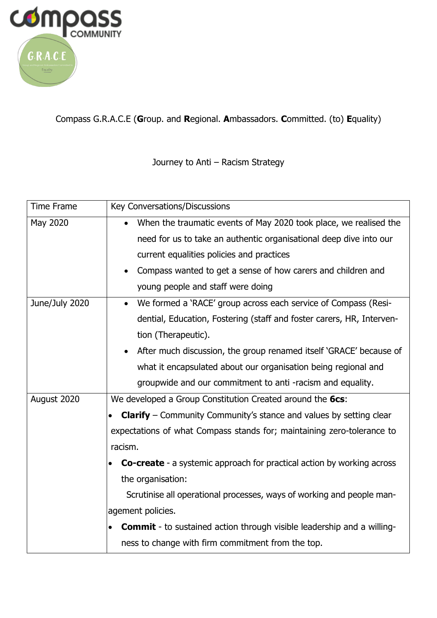

Compass G.R.A.C.E (**G**roup. and **R**egional. **A**mbassadors. **C**ommitted. (to) **E**quality)

Journey to Anti – Racism Strategy

| <b>Time Frame</b> | Key Conversations/Discussions                                                              |
|-------------------|--------------------------------------------------------------------------------------------|
| May 2020          | When the traumatic events of May 2020 took place, we realised the<br>$\bullet$             |
|                   | need for us to take an authentic organisational deep dive into our                         |
|                   | current equalities policies and practices                                                  |
|                   | Compass wanted to get a sense of how carers and children and<br>$\bullet$                  |
|                   | young people and staff were doing                                                          |
| June/July 2020    | • We formed a 'RACE' group across each service of Compass (Resi-                           |
|                   | dential, Education, Fostering (staff and foster carers, HR, Interven-                      |
|                   | tion (Therapeutic).                                                                        |
|                   | After much discussion, the group renamed itself 'GRACE' because of<br>$\bullet$            |
|                   | what it encapsulated about our organisation being regional and                             |
|                   | groupwide and our commitment to anti-racism and equality.                                  |
| August 2020       | We developed a Group Constitution Created around the 6cs:                                  |
|                   | <b>Clarify</b> – Community Community's stance and values by setting clear                  |
|                   | expectations of what Compass stands for; maintaining zero-tolerance to                     |
|                   | racism.                                                                                    |
|                   | <b>Co-create</b> - a systemic approach for practical action by working across              |
|                   | the organisation:                                                                          |
|                   | Scrutinise all operational processes, ways of working and people man-                      |
|                   | agement policies.                                                                          |
|                   | <b>Commit</b> - to sustained action through visible leadership and a willing-<br>$\bullet$ |
|                   | ness to change with firm commitment from the top.                                          |
|                   |                                                                                            |
|                   |                                                                                            |
|                   |                                                                                            |
|                   |                                                                                            |
|                   |                                                                                            |
|                   |                                                                                            |
|                   |                                                                                            |
|                   |                                                                                            |
|                   |                                                                                            |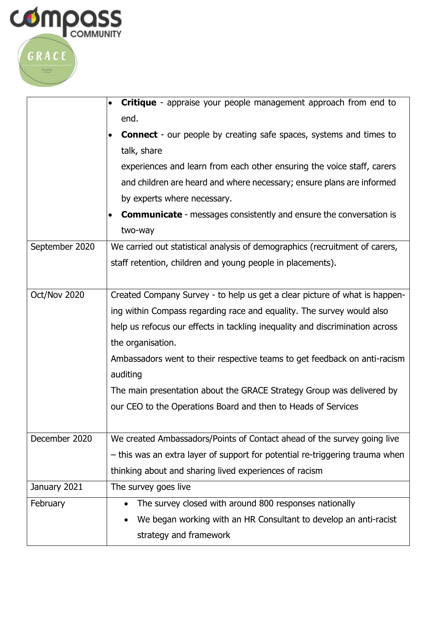

|                | <b>Critique</b> - appraise your people management approach from end to                 |
|----------------|----------------------------------------------------------------------------------------|
|                | end.                                                                                   |
|                | <b>Connect</b> - our people by creating safe spaces, systems and times to<br>$\bullet$ |
|                | talk, share                                                                            |
|                | experiences and learn from each other ensuring the voice staff, carers                 |
|                | and children are heard and where necessary; ensure plans are informed                  |
|                | by experts where necessary.                                                            |
|                | <b>Communicate</b> - messages consistently and ensure the conversation is<br>$\bullet$ |
|                | two-way                                                                                |
| September 2020 | We carried out statistical analysis of demographics (recruitment of carers,            |
|                | staff retention, children and young people in placements).                             |
|                |                                                                                        |
| Oct/Nov 2020   | Created Company Survey - to help us get a clear picture of what is happen-             |
|                | ing within Compass regarding race and equality. The survey would also                  |
|                | help us refocus our effects in tackling inequality and discrimination across           |
|                | the organisation.                                                                      |
|                | Ambassadors went to their respective teams to get feedback on anti-racism              |
|                | auditing                                                                               |
|                | The main presentation about the GRACE Strategy Group was delivered by                  |
|                | our CEO to the Operations Board and then to Heads of Services                          |
|                |                                                                                        |
| December 2020  | We created Ambassadors/Points of Contact ahead of the survey going live                |
|                | - this was an extra layer of support for potential re-triggering trauma when           |
|                | thinking about and sharing lived experiences of racism                                 |
| January 2021   | The survey goes live                                                                   |
| February       | The survey closed with around 800 responses nationally                                 |
|                | We began working with an HR Consultant to develop an anti-racist                       |
|                | strategy and framework                                                                 |